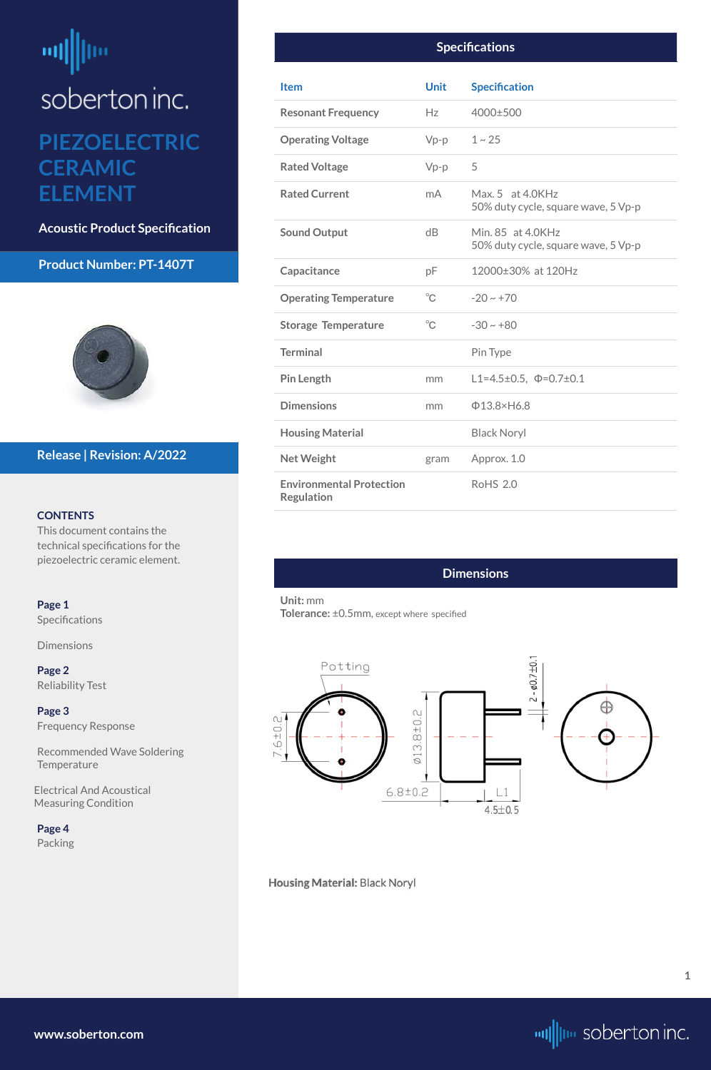#### **Product Number: PT-1407T**



#### **CONTENTS**

This document contains the technical specifications for the piezoelectric ceramic element.

[Recommended Wave Soldering](#page-2-0)  **[Temperature](#page-2-0)** 

#### **Page 1**

Specifications

**Dimensions** 

**[Page 2](#page-1-0)** [Reliability Test](#page-1-0)

## <span id="page-0-0"></span>뻬 ļm soberton inc. **PIEZOELECTRIC CERAMIC**

**[Page 3](#page-2-0)** [Frequency Response](#page-2-0)

 Electrical And Acoustical Measuring Condition

**[Page 4](#page-3-0)** [Packing](#page-3-0)

**Housing Material: Black Noryl** 

#### **Release | Revision: A/2022**

# **ELEMENT**

**Acoustic Product Specification**

**[www.soberton.com](http://www.soberton.com)**



**1**

| <b>Item</b>                                          | <b>Unit</b>  | <b>Specification</b>                                     |
|------------------------------------------------------|--------------|----------------------------------------------------------|
| <b>Resonant Frequency</b>                            | Hz           | 4000±500                                                 |
| <b>Operating Voltage</b>                             | $Vp-p$       | $1 - 25$                                                 |
| <b>Rated Voltage</b>                                 | $Vp-p$       | 5                                                        |
| <b>Rated Current</b>                                 | mA           | Max. 5 at 4.0KHz<br>50% duty cycle, square wave, 5 Vp-p  |
| <b>Sound Output</b>                                  | dB           | Min. 85 at 4.0KHz<br>50% duty cycle, square wave, 5 Vp-p |
| Capacitance                                          | рF           | 12000±30% at 120Hz                                       |
| <b>Operating Temperature</b>                         | $^{\circ}$ C | $-20 \sim +70$                                           |
| <b>Storage Temperature</b>                           | $^{\circ}$ C | $-30 \sim +80$                                           |
| <b>Terminal</b>                                      |              | Pin Type                                                 |
| <b>Pin Length</b>                                    | mm           | L1=4.5±0.5, $\Phi$ =0.7±0.1                              |
| <b>Dimensions</b>                                    | mm           | $\Phi$ 13.8×H6.8                                         |
| <b>Housing Material</b>                              |              | <b>Black Noryl</b>                                       |
| <b>Net Weight</b>                                    | gram         | Approx. 1.0                                              |
| <b>Environmental Protection</b><br><b>Regulation</b> |              | <b>RoHS 2.0</b>                                          |

#### **Dimensions**

#### **Unit:** mm

**Tolerance:** ±0.5mm, except where specified

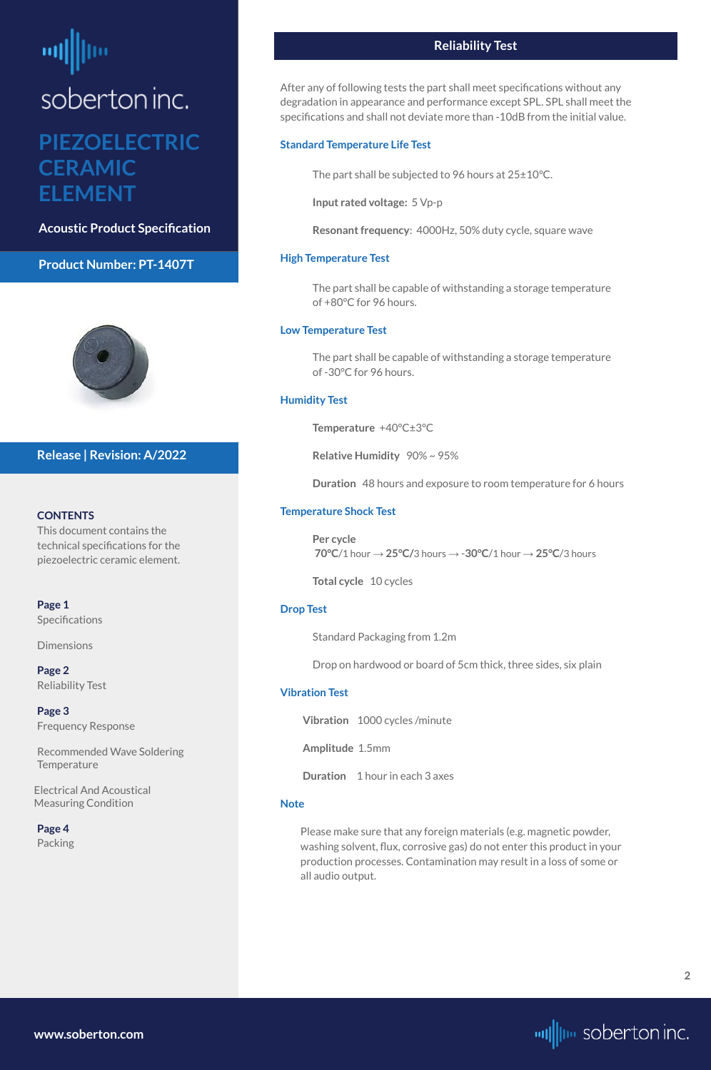#### **Product Number: PT-1407T**



#### **CONTENTS**

#### **[Page 1](#page-0-0) Specifications**

This document contains the technical specifications for the piezoelectric ceramic element.

[Recommended Wave Soldering](#page-2-0)  **[Temperature](#page-2-0)** 

[Dimensions](#page-0-0)

**Page 2** Reliability Test

**[Page 3](#page-2-0)** [Frequency Response](#page-2-0)

 Electrical And Acoustical Measuring Condition

**[Page 4](#page-3-0)** [Packing](#page-3-0)

#### **Release | Revision: A/2022**

# <span id="page-1-0"></span>soberton inc.

### **PIEZOELECTRIC CERAMIC ELEMENT**

**Acoustic Product Specification**

#### **Reliability Test**

After any of following tests the part shall meet specifications without any degradation in appearance and performance except SPL. SPL shall meet the specifications and shall not deviate more than -10dB from the initial value.

#### **Standard Temperature Life Test**

The part shall be subjected to 96 hours at 25±10°C.

**Input rated voltage:** 5 Vp-p

**Resonant frequency**: 4000Hz, 50% duty cycle, square wave

#### **High Temperature Test**

The part shall be capable of withstanding a storage temperature of +80°C for 96 hours.

#### **Low Temperature Test**

The part shall be capable of withstanding a storage temperature of -30°C for 96 hours.

#### **Humidity Test**

**Temperature** +40°C±3°C

**Relative Humidity** 90% ~ 95%

**Duration** 48 hours and exposure to room temperature for 6 hours

#### **Temperature Shock Test**

**Per cycle 70°C**/1 hour → **25°C/**3 hours → -**30°C**/1 hour → **25°C**/3 hours

**Total cycle** 10 cycles

#### **Drop Test**

Standard Packaging from 1.2m

Drop on hardwood or board of 5cm thick, three sides, six plain

#### **Vibration Test**

**Vibration** 1000 cycles /minute

**Amplitude** 1.5mm

**Duration** 1 hour in each 3 axes

#### **Note**

Please make sure that any foreign materials (e.g. magnetic powder, washing solvent, flux, corrosive gas) do not enter this product in your production processes. Contamination may result in a loss of some or all audio output.

**[www.soberton.com](http://www.soberton.com)**

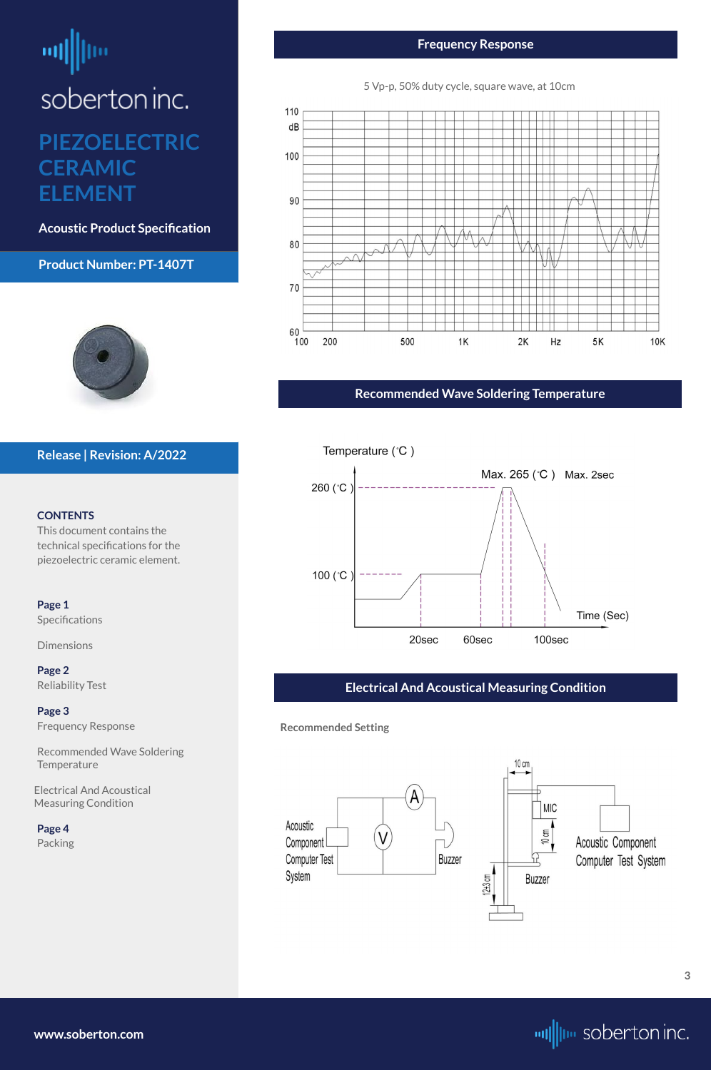# <span id="page-2-0"></span>ᆒ

soberton inc.

#### **Product Number: PT-1407T**



#### **CONTENTS**

This document contains the technical specifications for the piezoelectric ceramic element.

Recommended Wave Soldering **Temperature** 

**[Page 1](#page-0-0)** [Specifications](#page-0-0) 

[Dimensions](#page-0-0)

**[Page 2](#page-1-0)** [Reliability Test](#page-1-0)

**Page 3** Frequency Response

 Electrical And Acoustical Measuring Condition

**[Page 4](#page-3-0)** [Packing](#page-3-0)

#### **Release | Revision: A/2022**

### **PIEZOELECTRIC CERAMIC ELEMENT**

**Acoustic Product Specification**

**[www.soberton.com](http://www.soberton.com)**



**Frequency Response**



#### 5 Vp-p, 50% duty cycle, square wave, at 10cm

#### **Recommended Wave Soldering Temperature**



#### **Electrical And Acoustical Measuring Condition**

**Recommended Setting**